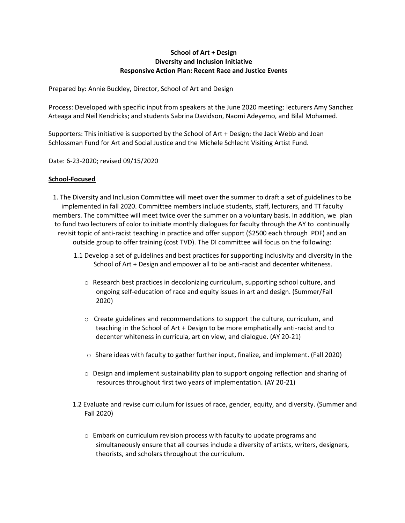## **School of Art + Design Diversity and Inclusion Initiative Responsive Action Plan: Recent Race and Justice Events**

Prepared by: Annie Buckley, Director, School of Art and Design

Process: Developed with specific input from speakers at the June 2020 meeting: lecturers Amy Sanchez Arteaga and Neil Kendricks; and students Sabrina Davidson, Naomi Adeyemo, and Bilal Mohamed.

Supporters: This initiative is supported by the School of Art + Design; the Jack Webb and Joan Schlossman Fund for Art and Social Justice and the Michele Schlecht Visiting Artist Fund.

Date: 6-23-2020; revised 09/15/2020

## **School-Focused**

1. The Diversity and Inclusion Committee will meet over the summer to draft a set of guidelines to be implemented in fall 2020. Committee members include students, staff, lecturers, and TT faculty members. The committee will meet twice over the summer on a voluntary basis. In addition, we plan to fund two lecturers of color to initiate monthly dialogues for faculty through the AY to continually revisit topic of anti-racist teaching in practice and offer support (\$2500 each through PDF) and an outside group to offer training (cost TVD). The DI committee will focus on the following:

- 1.1 Develop a set of guidelines and best practices for supporting inclusivity and diversity in the School of Art + Design and empower all to be anti-racist and decenter whiteness.
	- o Research best practices in decolonizing curriculum, supporting school culture, and ongoing self-education of race and equity issues in art and design. (Summer/Fall 2020)
	- o Create guidelines and recommendations to support the culture, curriculum, and teaching in the School of Art + Design to be more emphatically anti-racist and to decenter whiteness in curricula, art on view, and dialogue. (AY 20-21)
	- $\circ$  Share ideas with faculty to gather further input, finalize, and implement. (Fall 2020)
	- $\circ$  Design and implement sustainability plan to support ongoing reflection and sharing of resources throughout first two years of implementation. (AY 20-21)
- 1.2 Evaluate and revise curriculum for issues of race, gender, equity, and diversity. (Summer and Fall 2020)
	- o Embark on curriculum revision process with faculty to update programs and simultaneously ensure that all courses include a diversity of artists, writers, designers, theorists, and scholars throughout the curriculum.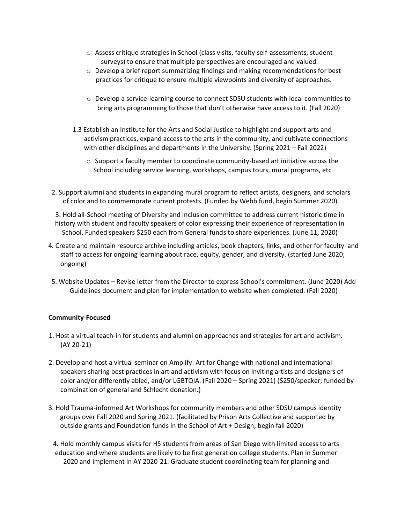- $\circ$  Assess critique strategies in School (class visits, faculty self-assessments, student surveys) to ensure that multiple perspectives are encouraged and valued.
- $\circ$  Develop a brief report summarizing findings and making recommendations for best practices for critique to ensure multiple viewpoints and diversity of approaches.
- o Develop a service-learning course to connect SDSU students with local communities to bring arts programming to those that don't otherwise have access to it. (Fall 2020)
- 1.3 Establish an Institute for the Arts and Social Justice to highlight and support arts and activism practices, expand access to the arts in the community, and cultivate connections with other disciplines and departments in the University. (Spring 2021 – Fall 2022)
	- $\circ$  Support a faculty member to coordinate community-based art initiative across the School including service learning, workshops, campus tours, mural programs, etc
- 2. Support alumni and students in expanding mural program to reflect artists, designers, and scholars of color and to commemorate current protests. (Funded by Webb fund, begin Summer 2020).
- 3. Hold all-School meeting of Diversity and Inclusion committee to address current historic time in history with student and faculty speakers of color expressing their experience of representation in School. Funded speakers \$250 each from General funds to share experiences. (June 11, 2020)
- 4. Create and maintain resource archive including articles, book chapters, links, and other for faculty and staff to access for ongoing learning about race, equity, gender, and diversity. (started June 2020; ongoing)
- 5. Website Updates Revise letter from the Director to express School's commitment. (June 2020) Add Guidelines document and plan for implementation to website when completed. (Fall 2020)

## **Community-Focused**

- 1. Host a virtual teach-in for students and alumni on approaches and strategies for art and activism. (AY 20-21)
- 2. Develop and host a virtual seminar on Amplify: Art for Change with national and international speakers sharing best practices in art and activism with focus on inviting artists and designers of color and/or differently abled, and/or LGBTQIA. (Fall 2020 – Spring 2021) (\$250/speaker; funded by combination of general and Schlecht donation.)
- 3. Hold Trauma-informed Art Workshops for community members and other SDSU campus identity groups over Fall 2020 and Spring 2021. (facilitated by Prison Arts Collective and supported by outside grants and Foundation funds in the School of Art + Design; begin fall 2020)

4. Hold monthly campus visits for HS students from areas of San Diego with limited access to arts education and where students are likely to be first generation college students. Plan in Summer 2020 and implement in AY 2020-21. Graduate student coordinating team for planning and